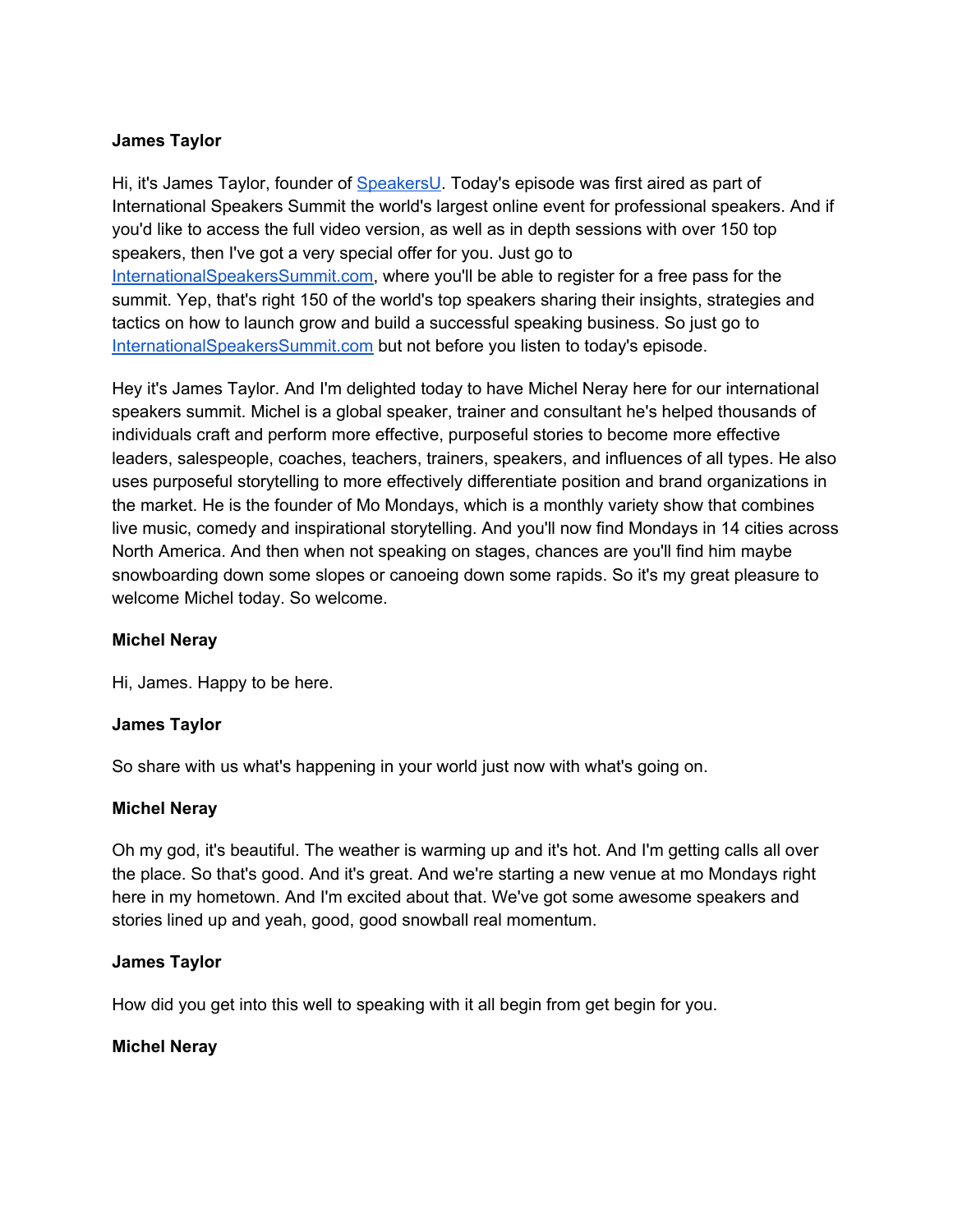Hi, it's James Taylor, founder of [SpeakersU.](https://speakersu.com/) Today's episode was first aired as part of International Speakers Summit the world's largest online event for professional speakers. And if you'd like to access the full video version, as well as in depth sessions with over 150 top speakers, then I've got a very special offer for you. Just go to [InternationalSpeakersSummit.com](http://internationalspeakerssummit.com/), where you'll be able to register for a free pass for the summit. Yep, that's right 150 of the world's top speakers sharing their insights, strategies and tactics on how to launch grow and build a successful speaking business. So just go t[o](http://internationalspeakerssummit.com/) [InternationalSpeakersSummit.com](http://internationalspeakerssummit.com/) but not before you listen to today's episode.

Hey it's James Taylor. And I'm delighted today to have Michel Neray here for our international speakers summit. Michel is a global speaker, trainer and consultant he's helped thousands of individuals craft and perform more effective, purposeful stories to become more effective leaders, salespeople, coaches, teachers, trainers, speakers, and influences of all types. He also uses purposeful storytelling to more effectively differentiate position and brand organizations in the market. He is the founder of Mo Mondays, which is a monthly variety show that combines live music, comedy and inspirational storytelling. And you'll now find Mondays in 14 cities across North America. And then when not speaking on stages, chances are you'll find him maybe snowboarding down some slopes or canoeing down some rapids. So it's my great pleasure to welcome Michel today. So welcome.

### **Michel Neray**

Hi, James. Happy to be here.

### **James Taylor**

So share with us what's happening in your world just now with what's going on.

### **Michel Neray**

Oh my god, it's beautiful. The weather is warming up and it's hot. And I'm getting calls all over the place. So that's good. And it's great. And we're starting a new venue at mo Mondays right here in my hometown. And I'm excited about that. We've got some awesome speakers and stories lined up and yeah, good, good snowball real momentum.

### **James Taylor**

How did you get into this well to speaking with it all begin from get begin for you.

# **Michel Neray**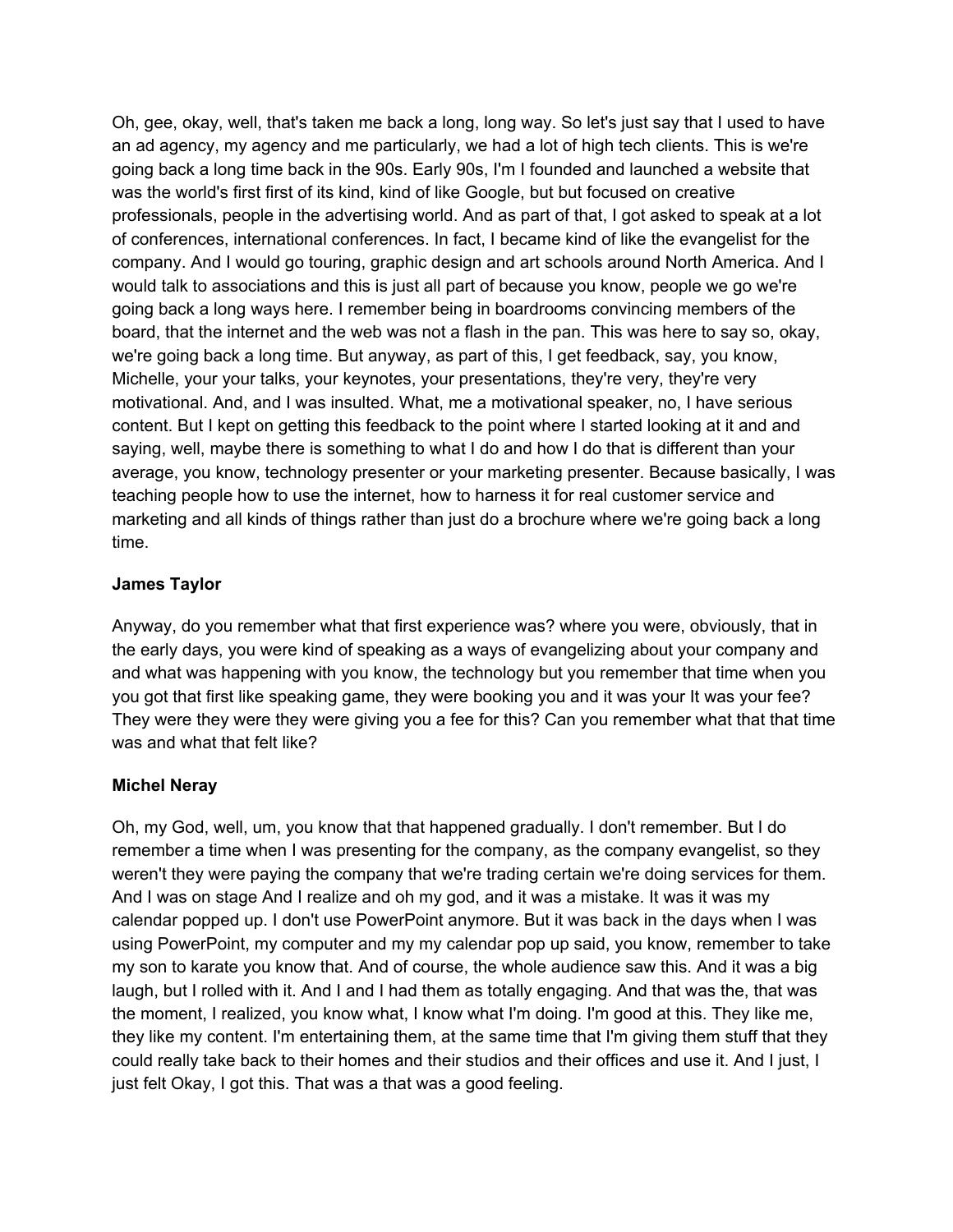Oh, gee, okay, well, that's taken me back a long, long way. So let's just say that I used to have an ad agency, my agency and me particularly, we had a lot of high tech clients. This is we're going back a long time back in the 90s. Early 90s, I'm I founded and launched a website that was the world's first first of its kind, kind of like Google, but but focused on creative professionals, people in the advertising world. And as part of that, I got asked to speak at a lot of conferences, international conferences. In fact, I became kind of like the evangelist for the company. And I would go touring, graphic design and art schools around North America. And I would talk to associations and this is just all part of because you know, people we go we're going back a long ways here. I remember being in boardrooms convincing members of the board, that the internet and the web was not a flash in the pan. This was here to say so, okay, we're going back a long time. But anyway, as part of this, I get feedback, say, you know, Michelle, your your talks, your keynotes, your presentations, they're very, they're very motivational. And, and I was insulted. What, me a motivational speaker, no, I have serious content. But I kept on getting this feedback to the point where I started looking at it and and saying, well, maybe there is something to what I do and how I do that is different than your average, you know, technology presenter or your marketing presenter. Because basically, I was teaching people how to use the internet, how to harness it for real customer service and marketing and all kinds of things rather than just do a brochure where we're going back a long time.

### **James Taylor**

Anyway, do you remember what that first experience was? where you were, obviously, that in the early days, you were kind of speaking as a ways of evangelizing about your company and and what was happening with you know, the technology but you remember that time when you you got that first like speaking game, they were booking you and it was your It was your fee? They were they were they were giving you a fee for this? Can you remember what that that time was and what that felt like?

### **Michel Neray**

Oh, my God, well, um, you know that that happened gradually. I don't remember. But I do remember a time when I was presenting for the company, as the company evangelist, so they weren't they were paying the company that we're trading certain we're doing services for them. And I was on stage And I realize and oh my god, and it was a mistake. It was it was my calendar popped up. I don't use PowerPoint anymore. But it was back in the days when I was using PowerPoint, my computer and my my calendar pop up said, you know, remember to take my son to karate you know that. And of course, the whole audience saw this. And it was a big laugh, but I rolled with it. And I and I had them as totally engaging. And that was the, that was the moment, I realized, you know what, I know what I'm doing. I'm good at this. They like me, they like my content. I'm entertaining them, at the same time that I'm giving them stuff that they could really take back to their homes and their studios and their offices and use it. And I just, I just felt Okay, I got this. That was a that was a good feeling.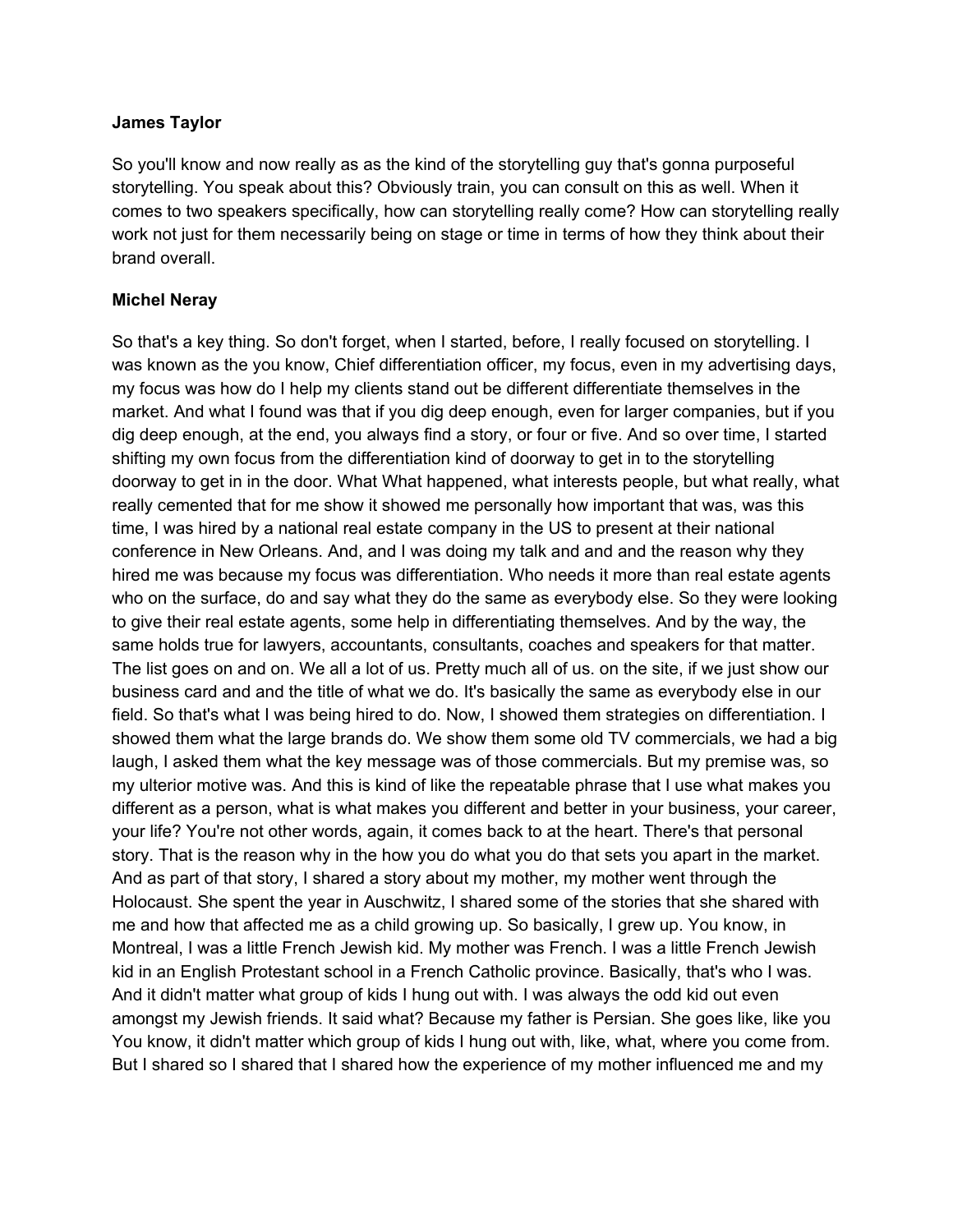So you'll know and now really as as the kind of the storytelling guy that's gonna purposeful storytelling. You speak about this? Obviously train, you can consult on this as well. When it comes to two speakers specifically, how can storytelling really come? How can storytelling really work not just for them necessarily being on stage or time in terms of how they think about their brand overall.

## **Michel Neray**

So that's a key thing. So don't forget, when I started, before, I really focused on storytelling. I was known as the you know, Chief differentiation officer, my focus, even in my advertising days, my focus was how do I help my clients stand out be different differentiate themselves in the market. And what I found was that if you dig deep enough, even for larger companies, but if you dig deep enough, at the end, you always find a story, or four or five. And so over time, I started shifting my own focus from the differentiation kind of doorway to get in to the storytelling doorway to get in in the door. What What happened, what interests people, but what really, what really cemented that for me show it showed me personally how important that was, was this time, I was hired by a national real estate company in the US to present at their national conference in New Orleans. And, and I was doing my talk and and and the reason why they hired me was because my focus was differentiation. Who needs it more than real estate agents who on the surface, do and say what they do the same as everybody else. So they were looking to give their real estate agents, some help in differentiating themselves. And by the way, the same holds true for lawyers, accountants, consultants, coaches and speakers for that matter. The list goes on and on. We all a lot of us. Pretty much all of us. on the site, if we just show our business card and and the title of what we do. It's basically the same as everybody else in our field. So that's what I was being hired to do. Now, I showed them strategies on differentiation. I showed them what the large brands do. We show them some old TV commercials, we had a big laugh, I asked them what the key message was of those commercials. But my premise was, so my ulterior motive was. And this is kind of like the repeatable phrase that I use what makes you different as a person, what is what makes you different and better in your business, your career, your life? You're not other words, again, it comes back to at the heart. There's that personal story. That is the reason why in the how you do what you do that sets you apart in the market. And as part of that story, I shared a story about my mother, my mother went through the Holocaust. She spent the year in Auschwitz, I shared some of the stories that she shared with me and how that affected me as a child growing up. So basically, I grew up. You know, in Montreal, I was a little French Jewish kid. My mother was French. I was a little French Jewish kid in an English Protestant school in a French Catholic province. Basically, that's who I was. And it didn't matter what group of kids I hung out with. I was always the odd kid out even amongst my Jewish friends. It said what? Because my father is Persian. She goes like, like you You know, it didn't matter which group of kids I hung out with, like, what, where you come from. But I shared so I shared that I shared how the experience of my mother influenced me and my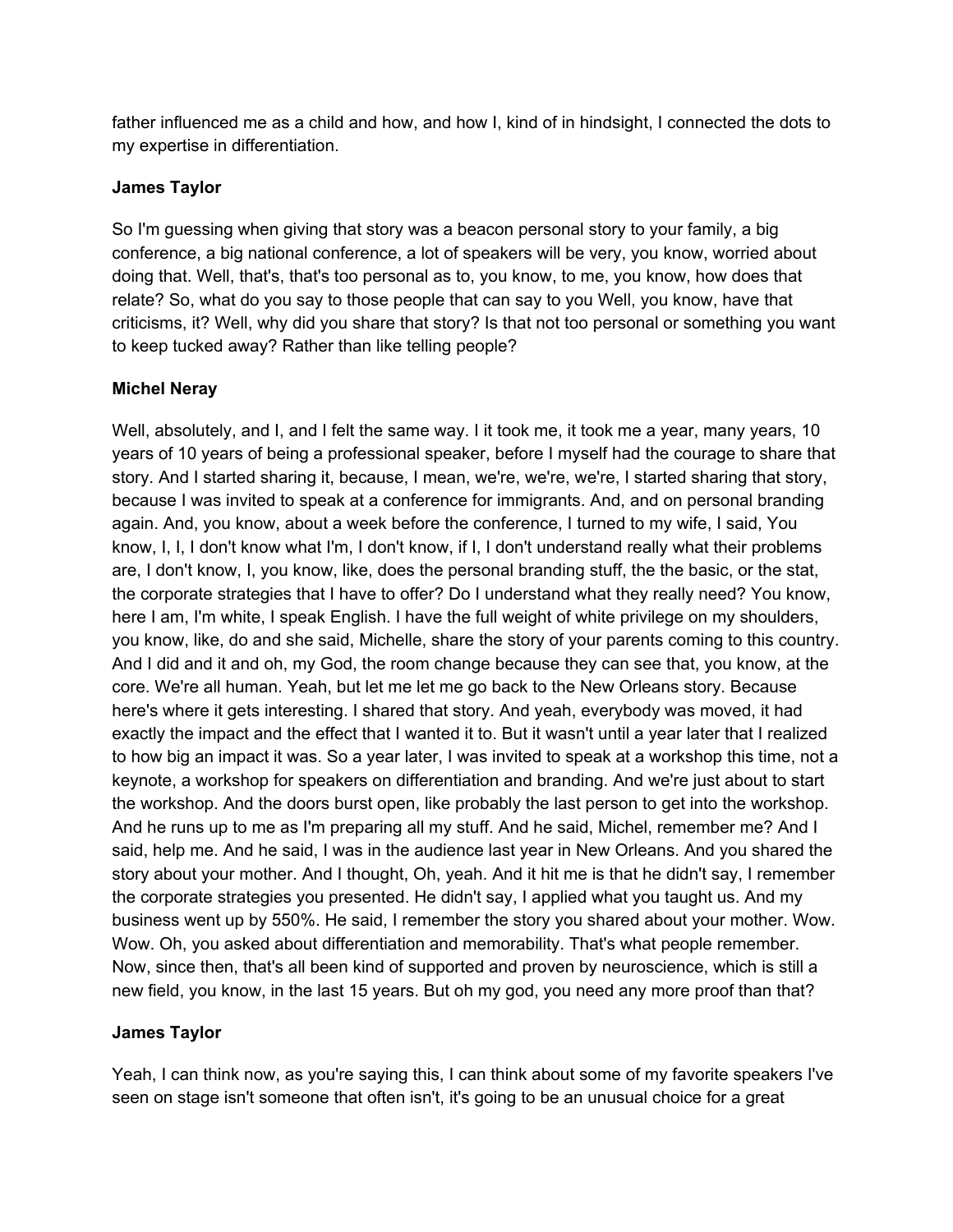father influenced me as a child and how, and how I, kind of in hindsight, I connected the dots to my expertise in differentiation.

## **James Taylor**

So I'm guessing when giving that story was a beacon personal story to your family, a big conference, a big national conference, a lot of speakers will be very, you know, worried about doing that. Well, that's, that's too personal as to, you know, to me, you know, how does that relate? So, what do you say to those people that can say to you Well, you know, have that criticisms, it? Well, why did you share that story? Is that not too personal or something you want to keep tucked away? Rather than like telling people?

# **Michel Neray**

Well, absolutely, and I, and I felt the same way. I it took me, it took me a year, many years, 10 years of 10 years of being a professional speaker, before I myself had the courage to share that story. And I started sharing it, because, I mean, we're, we're, we're, I started sharing that story, because I was invited to speak at a conference for immigrants. And, and on personal branding again. And, you know, about a week before the conference, I turned to my wife, I said, You know, I, I, I don't know what I'm, I don't know, if I, I don't understand really what their problems are, I don't know, I, you know, like, does the personal branding stuff, the the basic, or the stat, the corporate strategies that I have to offer? Do I understand what they really need? You know, here I am, I'm white, I speak English. I have the full weight of white privilege on my shoulders, you know, like, do and she said, Michelle, share the story of your parents coming to this country. And I did and it and oh, my God, the room change because they can see that, you know, at the core. We're all human. Yeah, but let me let me go back to the New Orleans story. Because here's where it gets interesting. I shared that story. And yeah, everybody was moved, it had exactly the impact and the effect that I wanted it to. But it wasn't until a year later that I realized to how big an impact it was. So a year later, I was invited to speak at a workshop this time, not a keynote, a workshop for speakers on differentiation and branding. And we're just about to start the workshop. And the doors burst open, like probably the last person to get into the workshop. And he runs up to me as I'm preparing all my stuff. And he said, Michel, remember me? And I said, help me. And he said, I was in the audience last year in New Orleans. And you shared the story about your mother. And I thought, Oh, yeah. And it hit me is that he didn't say, I remember the corporate strategies you presented. He didn't say, I applied what you taught us. And my business went up by 550%. He said, I remember the story you shared about your mother. Wow. Wow. Oh, you asked about differentiation and memorability. That's what people remember. Now, since then, that's all been kind of supported and proven by neuroscience, which is still a new field, you know, in the last 15 years. But oh my god, you need any more proof than that?

# **James Taylor**

Yeah, I can think now, as you're saying this, I can think about some of my favorite speakers I've seen on stage isn't someone that often isn't, it's going to be an unusual choice for a great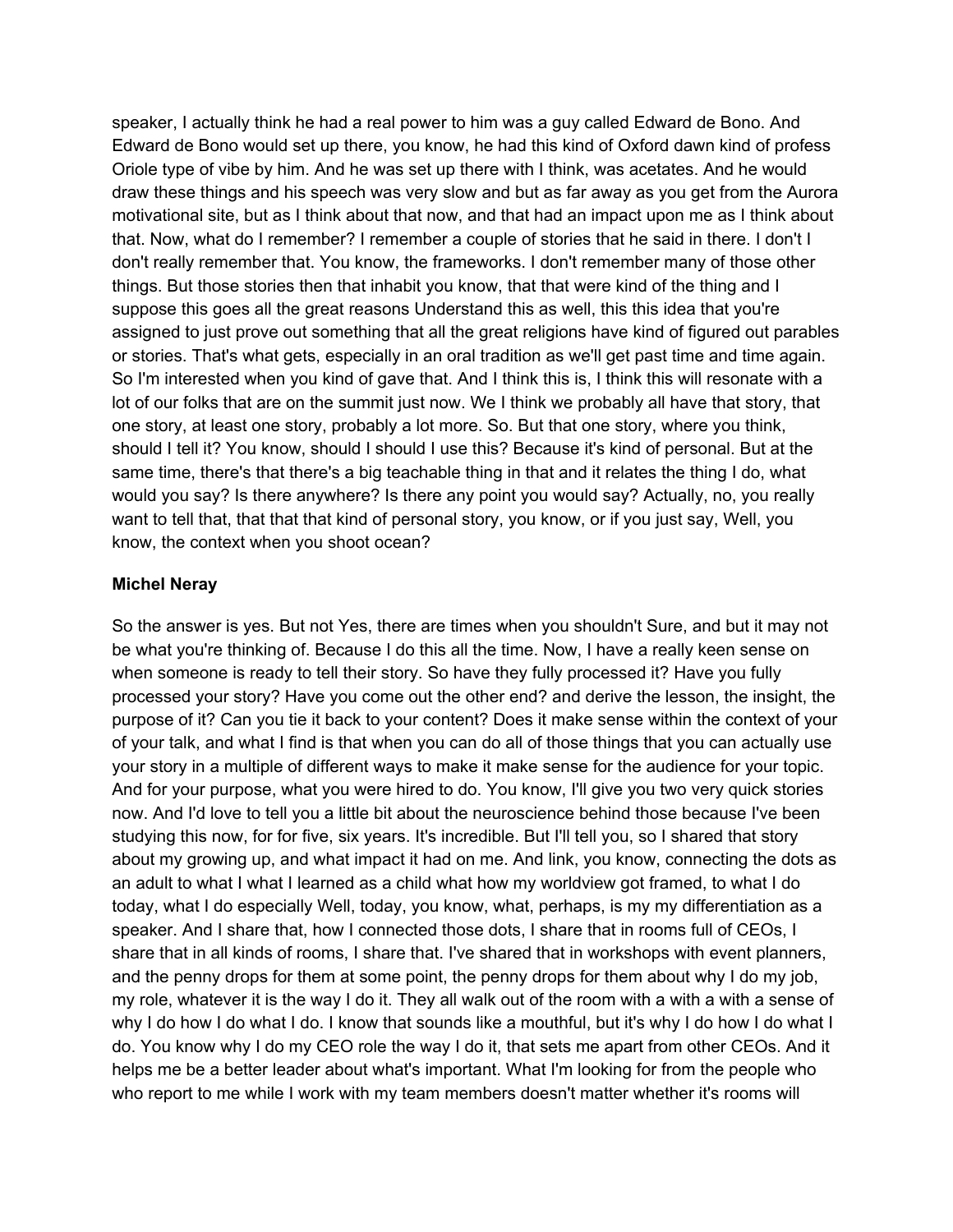speaker, I actually think he had a real power to him was a guy called Edward de Bono. And Edward de Bono would set up there, you know, he had this kind of Oxford dawn kind of profess Oriole type of vibe by him. And he was set up there with I think, was acetates. And he would draw these things and his speech was very slow and but as far away as you get from the Aurora motivational site, but as I think about that now, and that had an impact upon me as I think about that. Now, what do I remember? I remember a couple of stories that he said in there. I don't I don't really remember that. You know, the frameworks. I don't remember many of those other things. But those stories then that inhabit you know, that that were kind of the thing and I suppose this goes all the great reasons Understand this as well, this this idea that you're assigned to just prove out something that all the great religions have kind of figured out parables or stories. That's what gets, especially in an oral tradition as we'll get past time and time again. So I'm interested when you kind of gave that. And I think this is, I think this will resonate with a lot of our folks that are on the summit just now. We I think we probably all have that story, that one story, at least one story, probably a lot more. So. But that one story, where you think, should I tell it? You know, should I should I use this? Because it's kind of personal. But at the same time, there's that there's a big teachable thing in that and it relates the thing I do, what would you say? Is there anywhere? Is there any point you would say? Actually, no, you really want to tell that, that that that kind of personal story, you know, or if you just say, Well, you know, the context when you shoot ocean?

### **Michel Neray**

So the answer is yes. But not Yes, there are times when you shouldn't Sure, and but it may not be what you're thinking of. Because I do this all the time. Now, I have a really keen sense on when someone is ready to tell their story. So have they fully processed it? Have you fully processed your story? Have you come out the other end? and derive the lesson, the insight, the purpose of it? Can you tie it back to your content? Does it make sense within the context of your of your talk, and what I find is that when you can do all of those things that you can actually use your story in a multiple of different ways to make it make sense for the audience for your topic. And for your purpose, what you were hired to do. You know, I'll give you two very quick stories now. And I'd love to tell you a little bit about the neuroscience behind those because I've been studying this now, for for five, six years. It's incredible. But I'll tell you, so I shared that story about my growing up, and what impact it had on me. And link, you know, connecting the dots as an adult to what I what I learned as a child what how my worldview got framed, to what I do today, what I do especially Well, today, you know, what, perhaps, is my my differentiation as a speaker. And I share that, how I connected those dots, I share that in rooms full of CEOs, I share that in all kinds of rooms, I share that. I've shared that in workshops with event planners, and the penny drops for them at some point, the penny drops for them about why I do my job, my role, whatever it is the way I do it. They all walk out of the room with a with a with a sense of why I do how I do what I do. I know that sounds like a mouthful, but it's why I do how I do what I do. You know why I do my CEO role the way I do it, that sets me apart from other CEOs. And it helps me be a better leader about what's important. What I'm looking for from the people who who report to me while I work with my team members doesn't matter whether it's rooms will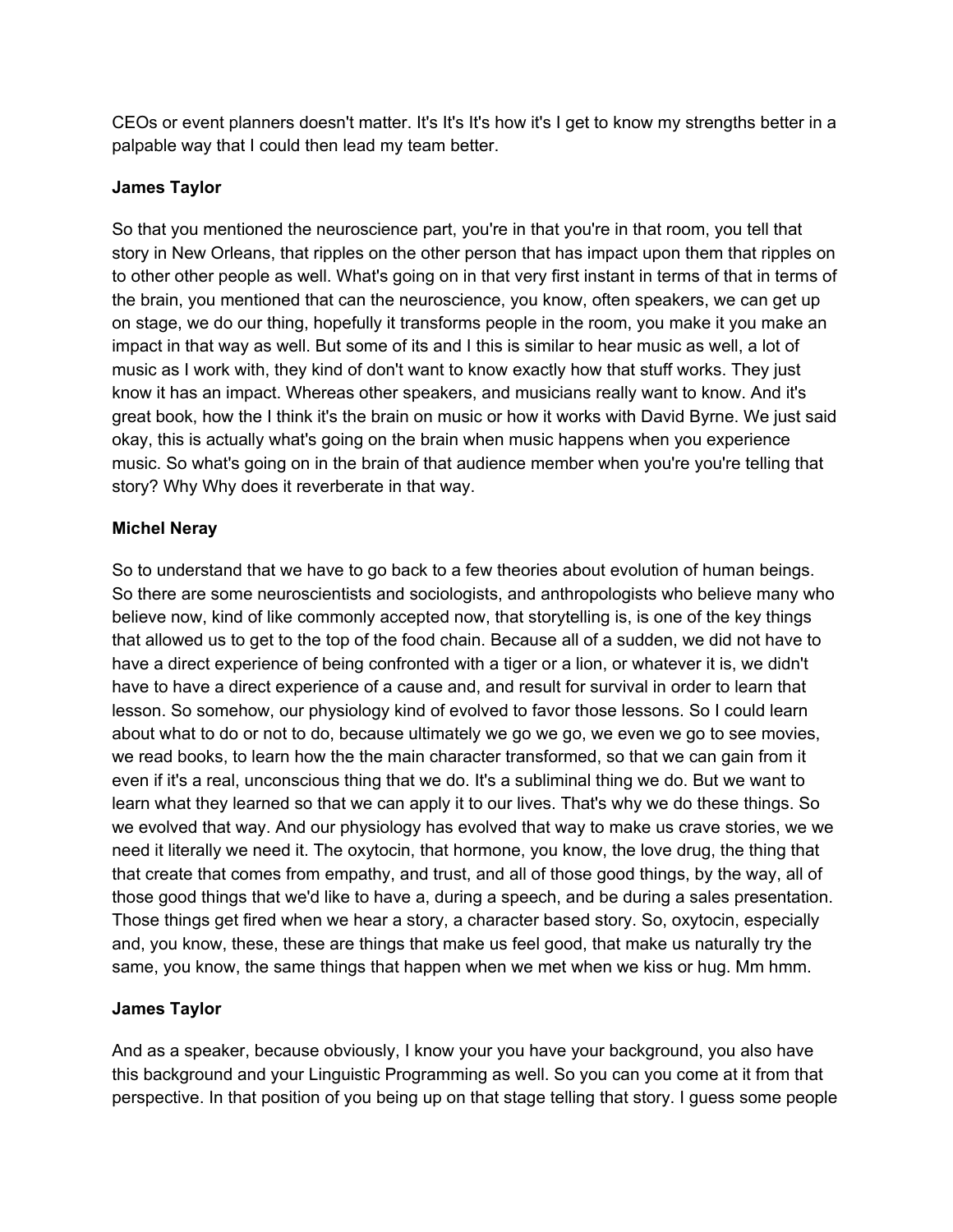CEOs or event planners doesn't matter. It's It's It's how it's I get to know my strengths better in a palpable way that I could then lead my team better.

## **James Taylor**

So that you mentioned the neuroscience part, you're in that you're in that room, you tell that story in New Orleans, that ripples on the other person that has impact upon them that ripples on to other other people as well. What's going on in that very first instant in terms of that in terms of the brain, you mentioned that can the neuroscience, you know, often speakers, we can get up on stage, we do our thing, hopefully it transforms people in the room, you make it you make an impact in that way as well. But some of its and I this is similar to hear music as well, a lot of music as I work with, they kind of don't want to know exactly how that stuff works. They just know it has an impact. Whereas other speakers, and musicians really want to know. And it's great book, how the I think it's the brain on music or how it works with David Byrne. We just said okay, this is actually what's going on the brain when music happens when you experience music. So what's going on in the brain of that audience member when you're you're telling that story? Why Why does it reverberate in that way.

## **Michel Neray**

So to understand that we have to go back to a few theories about evolution of human beings. So there are some neuroscientists and sociologists, and anthropologists who believe many who believe now, kind of like commonly accepted now, that storytelling is, is one of the key things that allowed us to get to the top of the food chain. Because all of a sudden, we did not have to have a direct experience of being confronted with a tiger or a lion, or whatever it is, we didn't have to have a direct experience of a cause and, and result for survival in order to learn that lesson. So somehow, our physiology kind of evolved to favor those lessons. So I could learn about what to do or not to do, because ultimately we go we go, we even we go to see movies, we read books, to learn how the the main character transformed, so that we can gain from it even if it's a real, unconscious thing that we do. It's a subliminal thing we do. But we want to learn what they learned so that we can apply it to our lives. That's why we do these things. So we evolved that way. And our physiology has evolved that way to make us crave stories, we we need it literally we need it. The oxytocin, that hormone, you know, the love drug, the thing that that create that comes from empathy, and trust, and all of those good things, by the way, all of those good things that we'd like to have a, during a speech, and be during a sales presentation. Those things get fired when we hear a story, a character based story. So, oxytocin, especially and, you know, these, these are things that make us feel good, that make us naturally try the same, you know, the same things that happen when we met when we kiss or hug. Mm hmm.

### **James Taylor**

And as a speaker, because obviously, I know your you have your background, you also have this background and your Linguistic Programming as well. So you can you come at it from that perspective. In that position of you being up on that stage telling that story. I guess some people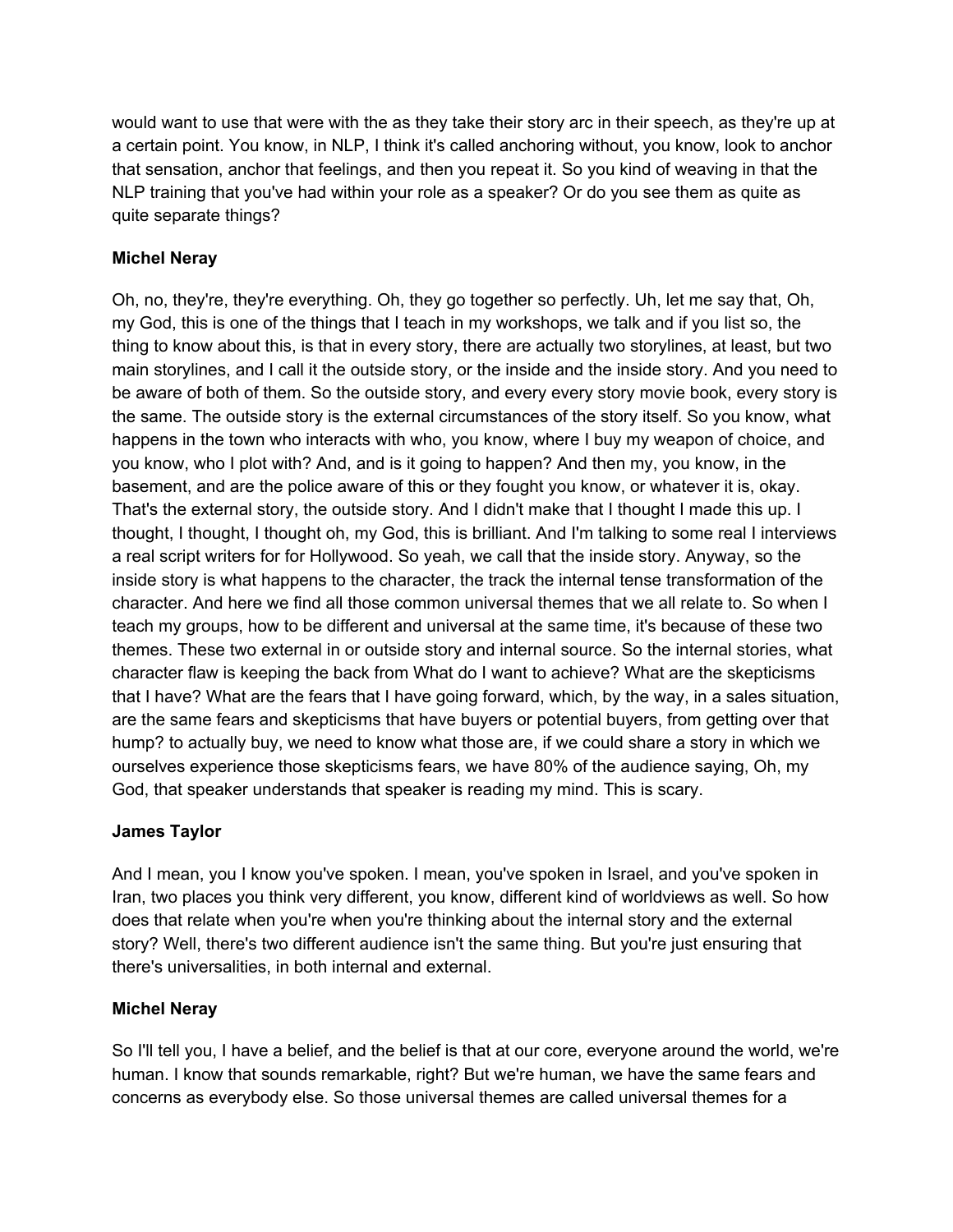would want to use that were with the as they take their story arc in their speech, as they're up at a certain point. You know, in NLP, I think it's called anchoring without, you know, look to anchor that sensation, anchor that feelings, and then you repeat it. So you kind of weaving in that the NLP training that you've had within your role as a speaker? Or do you see them as quite as quite separate things?

# **Michel Neray**

Oh, no, they're, they're everything. Oh, they go together so perfectly. Uh, let me say that, Oh, my God, this is one of the things that I teach in my workshops, we talk and if you list so, the thing to know about this, is that in every story, there are actually two storylines, at least, but two main storylines, and I call it the outside story, or the inside and the inside story. And you need to be aware of both of them. So the outside story, and every every story movie book, every story is the same. The outside story is the external circumstances of the story itself. So you know, what happens in the town who interacts with who, you know, where I buy my weapon of choice, and you know, who I plot with? And, and is it going to happen? And then my, you know, in the basement, and are the police aware of this or they fought you know, or whatever it is, okay. That's the external story, the outside story. And I didn't make that I thought I made this up. I thought, I thought, I thought oh, my God, this is brilliant. And I'm talking to some real I interviews a real script writers for for Hollywood. So yeah, we call that the inside story. Anyway, so the inside story is what happens to the character, the track the internal tense transformation of the character. And here we find all those common universal themes that we all relate to. So when I teach my groups, how to be different and universal at the same time, it's because of these two themes. These two external in or outside story and internal source. So the internal stories, what character flaw is keeping the back from What do I want to achieve? What are the skepticisms that I have? What are the fears that I have going forward, which, by the way, in a sales situation, are the same fears and skepticisms that have buyers or potential buyers, from getting over that hump? to actually buy, we need to know what those are, if we could share a story in which we ourselves experience those skepticisms fears, we have 80% of the audience saying, Oh, my God, that speaker understands that speaker is reading my mind. This is scary.

# **James Taylor**

And I mean, you I know you've spoken. I mean, you've spoken in Israel, and you've spoken in Iran, two places you think very different, you know, different kind of worldviews as well. So how does that relate when you're when you're thinking about the internal story and the external story? Well, there's two different audience isn't the same thing. But you're just ensuring that there's universalities, in both internal and external.

# **Michel Neray**

So I'll tell you, I have a belief, and the belief is that at our core, everyone around the world, we're human. I know that sounds remarkable, right? But we're human, we have the same fears and concerns as everybody else. So those universal themes are called universal themes for a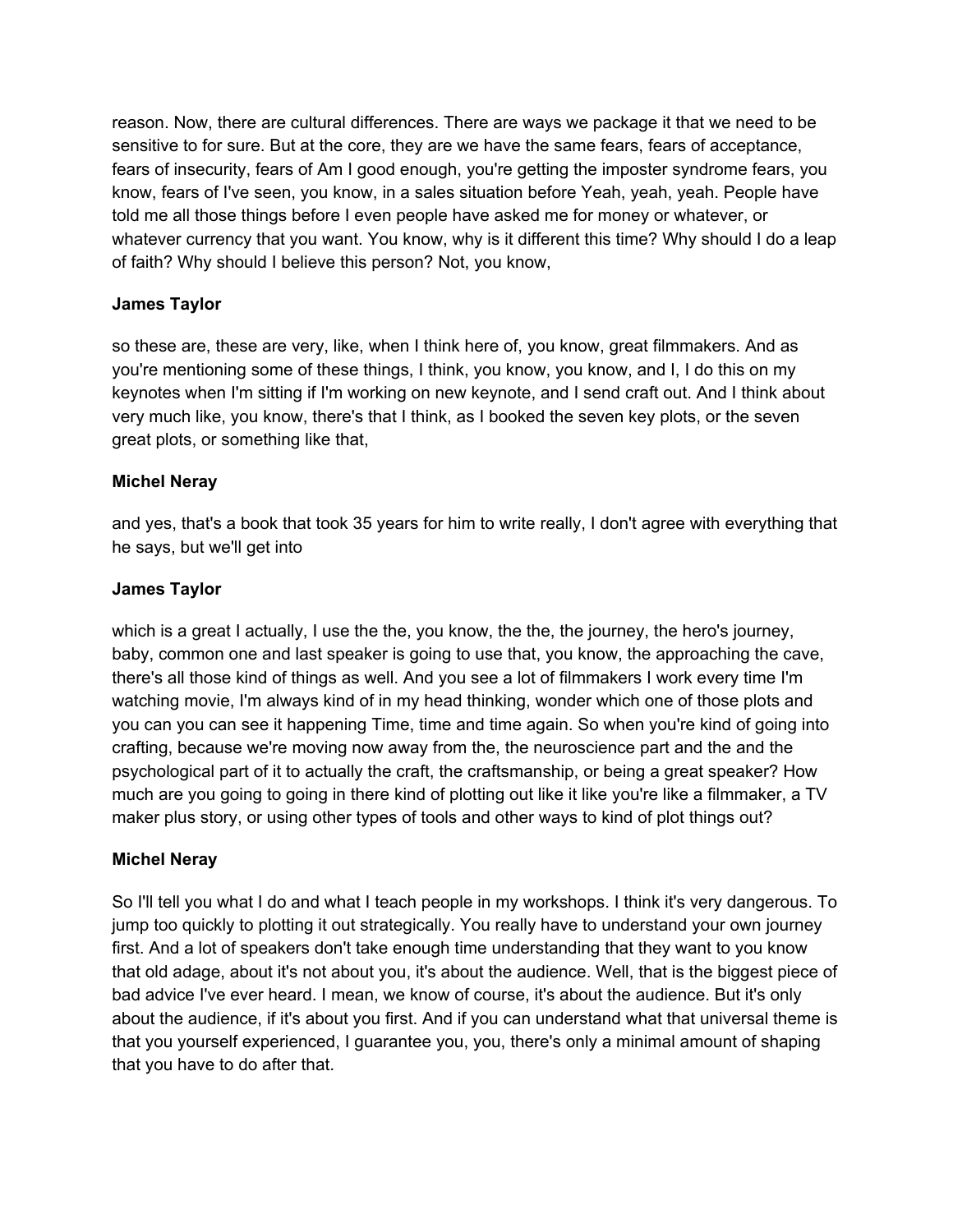reason. Now, there are cultural differences. There are ways we package it that we need to be sensitive to for sure. But at the core, they are we have the same fears, fears of acceptance, fears of insecurity, fears of Am I good enough, you're getting the imposter syndrome fears, you know, fears of I've seen, you know, in a sales situation before Yeah, yeah, yeah. People have told me all those things before I even people have asked me for money or whatever, or whatever currency that you want. You know, why is it different this time? Why should I do a leap of faith? Why should I believe this person? Not, you know,

## **James Taylor**

so these are, these are very, like, when I think here of, you know, great filmmakers. And as you're mentioning some of these things, I think, you know, you know, and I, I do this on my keynotes when I'm sitting if I'm working on new keynote, and I send craft out. And I think about very much like, you know, there's that I think, as I booked the seven key plots, or the seven great plots, or something like that,

## **Michel Neray**

and yes, that's a book that took 35 years for him to write really, I don't agree with everything that he says, but we'll get into

## **James Taylor**

which is a great I actually, I use the the, you know, the the, the journey, the hero's journey, baby, common one and last speaker is going to use that, you know, the approaching the cave, there's all those kind of things as well. And you see a lot of filmmakers I work every time I'm watching movie, I'm always kind of in my head thinking, wonder which one of those plots and you can you can see it happening Time, time and time again. So when you're kind of going into crafting, because we're moving now away from the, the neuroscience part and the and the psychological part of it to actually the craft, the craftsmanship, or being a great speaker? How much are you going to going in there kind of plotting out like it like you're like a filmmaker, a TV maker plus story, or using other types of tools and other ways to kind of plot things out?

### **Michel Neray**

So I'll tell you what I do and what I teach people in my workshops. I think it's very dangerous. To jump too quickly to plotting it out strategically. You really have to understand your own journey first. And a lot of speakers don't take enough time understanding that they want to you know that old adage, about it's not about you, it's about the audience. Well, that is the biggest piece of bad advice I've ever heard. I mean, we know of course, it's about the audience. But it's only about the audience, if it's about you first. And if you can understand what that universal theme is that you yourself experienced, I guarantee you, you, there's only a minimal amount of shaping that you have to do after that.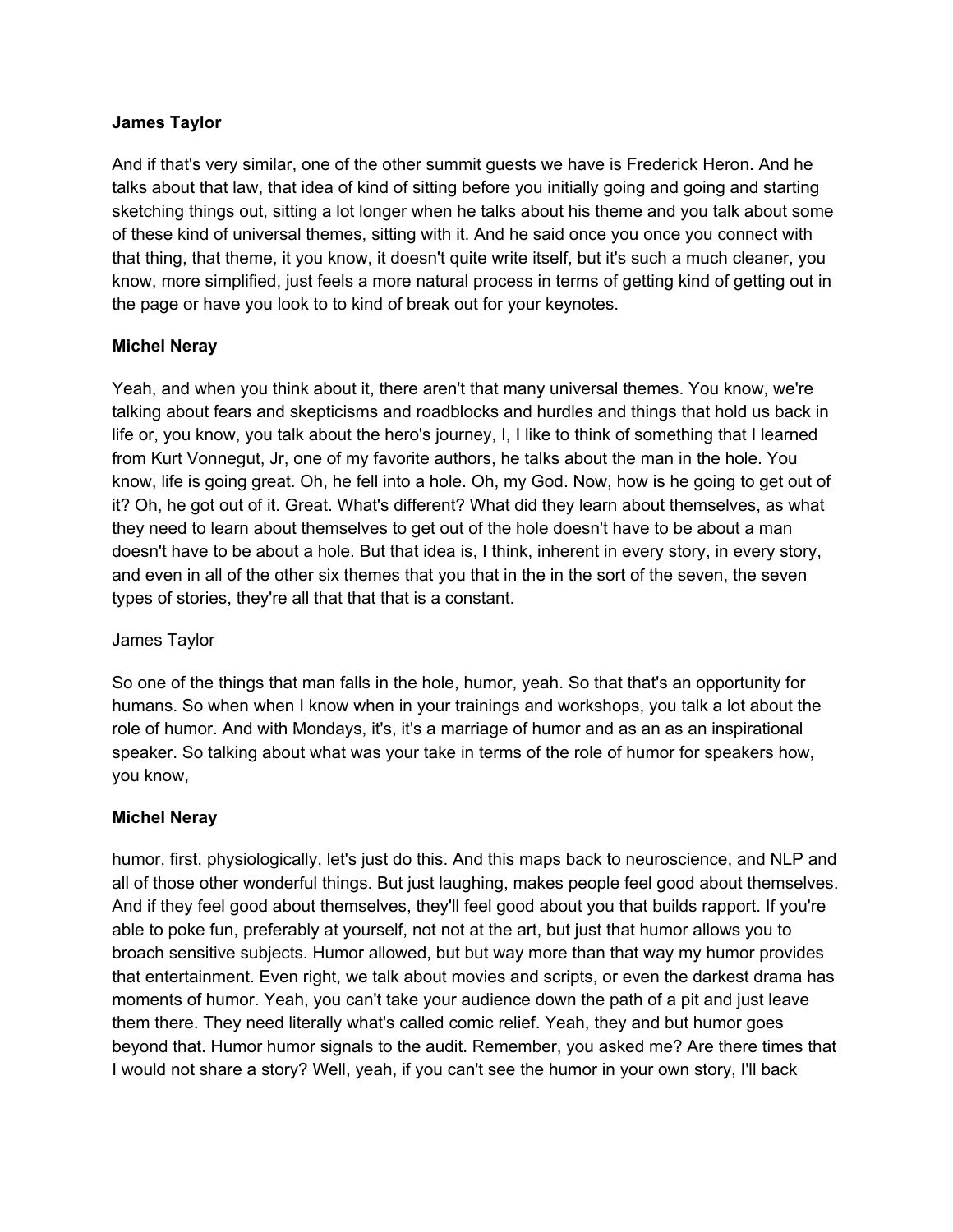And if that's very similar, one of the other summit guests we have is Frederick Heron. And he talks about that law, that idea of kind of sitting before you initially going and going and starting sketching things out, sitting a lot longer when he talks about his theme and you talk about some of these kind of universal themes, sitting with it. And he said once you once you connect with that thing, that theme, it you know, it doesn't quite write itself, but it's such a much cleaner, you know, more simplified, just feels a more natural process in terms of getting kind of getting out in the page or have you look to to kind of break out for your keynotes.

## **Michel Neray**

Yeah, and when you think about it, there aren't that many universal themes. You know, we're talking about fears and skepticisms and roadblocks and hurdles and things that hold us back in life or, you know, you talk about the hero's journey, I, I like to think of something that I learned from Kurt Vonnegut, Jr, one of my favorite authors, he talks about the man in the hole. You know, life is going great. Oh, he fell into a hole. Oh, my God. Now, how is he going to get out of it? Oh, he got out of it. Great. What's different? What did they learn about themselves, as what they need to learn about themselves to get out of the hole doesn't have to be about a man doesn't have to be about a hole. But that idea is, I think, inherent in every story, in every story, and even in all of the other six themes that you that in the in the sort of the seven, the seven types of stories, they're all that that that is a constant.

### James Taylor

So one of the things that man falls in the hole, humor, yeah. So that that's an opportunity for humans. So when when I know when in your trainings and workshops, you talk a lot about the role of humor. And with Mondays, it's, it's a marriage of humor and as an as an inspirational speaker. So talking about what was your take in terms of the role of humor for speakers how, you know,

### **Michel Neray**

humor, first, physiologically, let's just do this. And this maps back to neuroscience, and NLP and all of those other wonderful things. But just laughing, makes people feel good about themselves. And if they feel good about themselves, they'll feel good about you that builds rapport. If you're able to poke fun, preferably at yourself, not not at the art, but just that humor allows you to broach sensitive subjects. Humor allowed, but but way more than that way my humor provides that entertainment. Even right, we talk about movies and scripts, or even the darkest drama has moments of humor. Yeah, you can't take your audience down the path of a pit and just leave them there. They need literally what's called comic relief. Yeah, they and but humor goes beyond that. Humor humor signals to the audit. Remember, you asked me? Are there times that I would not share a story? Well, yeah, if you can't see the humor in your own story, I'll back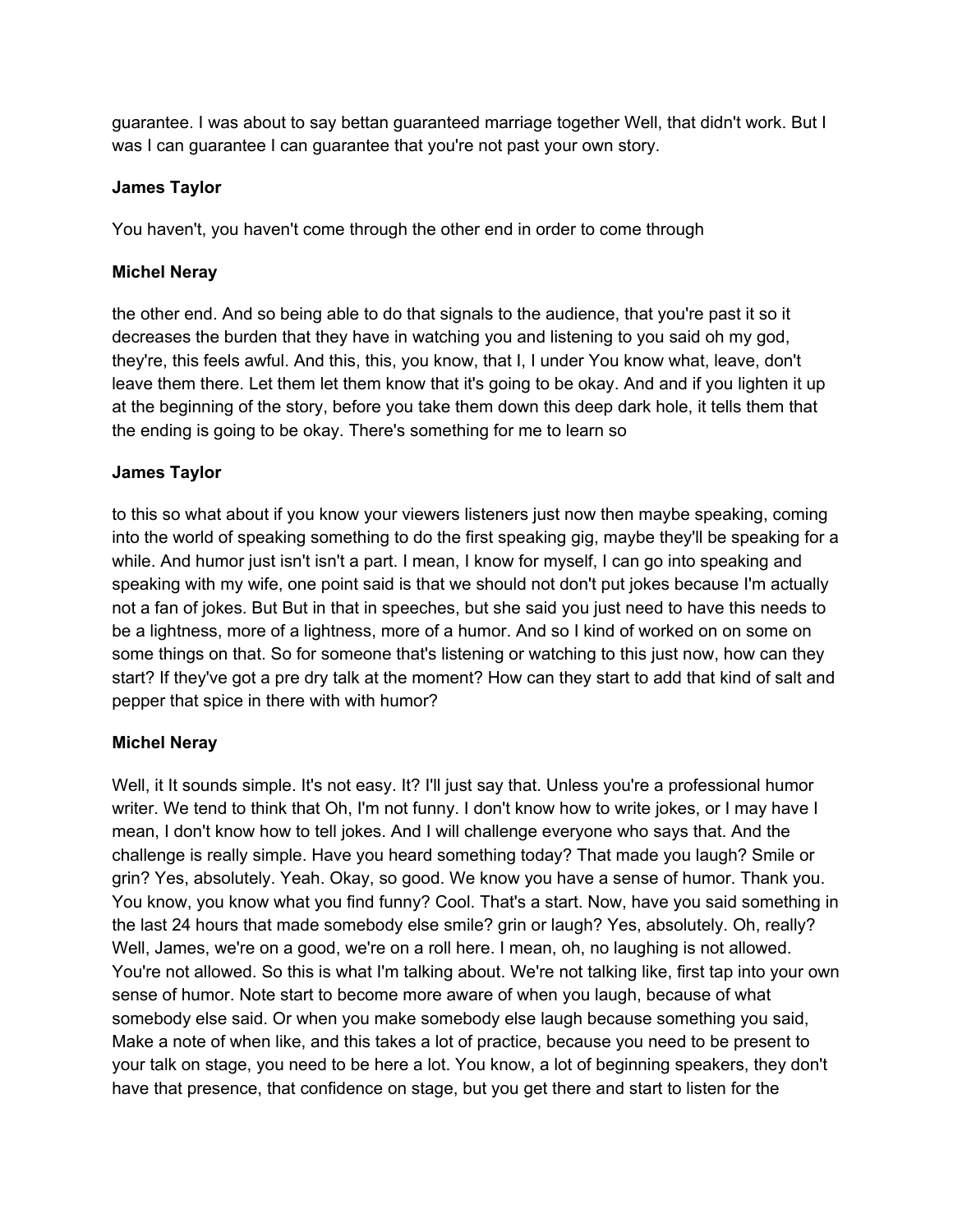guarantee. I was about to say bettan guaranteed marriage together Well, that didn't work. But I was I can guarantee I can guarantee that you're not past your own story.

## **James Taylor**

You haven't, you haven't come through the other end in order to come through

## **Michel Neray**

the other end. And so being able to do that signals to the audience, that you're past it so it decreases the burden that they have in watching you and listening to you said oh my god, they're, this feels awful. And this, this, you know, that I, I under You know what, leave, don't leave them there. Let them let them know that it's going to be okay. And and if you lighten it up at the beginning of the story, before you take them down this deep dark hole, it tells them that the ending is going to be okay. There's something for me to learn so

## **James Taylor**

to this so what about if you know your viewers listeners just now then maybe speaking, coming into the world of speaking something to do the first speaking gig, maybe they'll be speaking for a while. And humor just isn't isn't a part. I mean, I know for myself, I can go into speaking and speaking with my wife, one point said is that we should not don't put jokes because I'm actually not a fan of jokes. But But in that in speeches, but she said you just need to have this needs to be a lightness, more of a lightness, more of a humor. And so I kind of worked on on some on some things on that. So for someone that's listening or watching to this just now, how can they start? If they've got a pre dry talk at the moment? How can they start to add that kind of salt and pepper that spice in there with with humor?

# **Michel Neray**

Well, it It sounds simple. It's not easy. It? I'll just say that. Unless you're a professional humor writer. We tend to think that Oh, I'm not funny. I don't know how to write jokes, or I may have I mean, I don't know how to tell jokes. And I will challenge everyone who says that. And the challenge is really simple. Have you heard something today? That made you laugh? Smile or grin? Yes, absolutely. Yeah. Okay, so good. We know you have a sense of humor. Thank you. You know, you know what you find funny? Cool. That's a start. Now, have you said something in the last 24 hours that made somebody else smile? grin or laugh? Yes, absolutely. Oh, really? Well, James, we're on a good, we're on a roll here. I mean, oh, no laughing is not allowed. You're not allowed. So this is what I'm talking about. We're not talking like, first tap into your own sense of humor. Note start to become more aware of when you laugh, because of what somebody else said. Or when you make somebody else laugh because something you said, Make a note of when like, and this takes a lot of practice, because you need to be present to your talk on stage, you need to be here a lot. You know, a lot of beginning speakers, they don't have that presence, that confidence on stage, but you get there and start to listen for the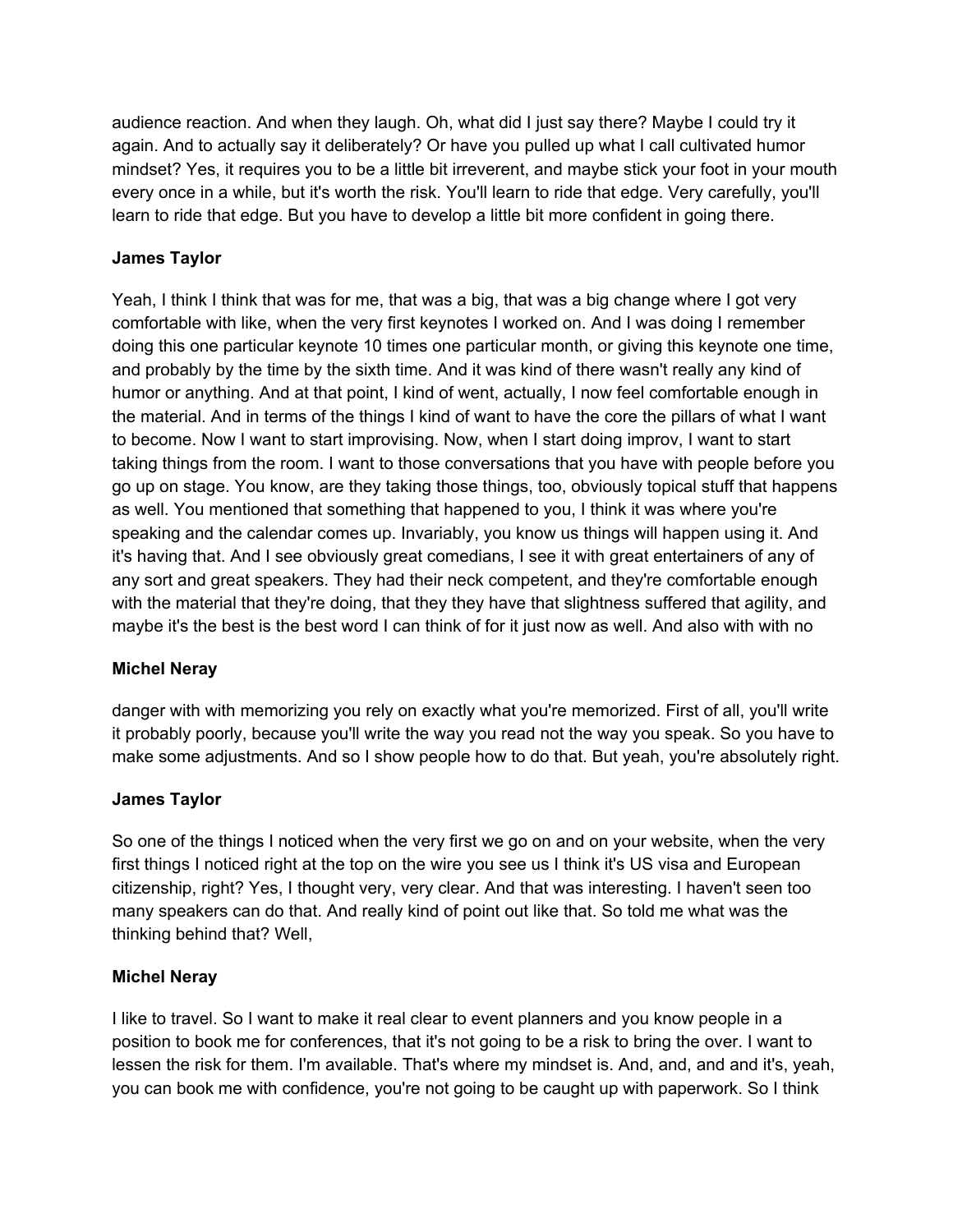audience reaction. And when they laugh. Oh, what did I just say there? Maybe I could try it again. And to actually say it deliberately? Or have you pulled up what I call cultivated humor mindset? Yes, it requires you to be a little bit irreverent, and maybe stick your foot in your mouth every once in a while, but it's worth the risk. You'll learn to ride that edge. Very carefully, you'll learn to ride that edge. But you have to develop a little bit more confident in going there.

# **James Taylor**

Yeah, I think I think that was for me, that was a big, that was a big change where I got very comfortable with like, when the very first keynotes I worked on. And I was doing I remember doing this one particular keynote 10 times one particular month, or giving this keynote one time, and probably by the time by the sixth time. And it was kind of there wasn't really any kind of humor or anything. And at that point, I kind of went, actually, I now feel comfortable enough in the material. And in terms of the things I kind of want to have the core the pillars of what I want to become. Now I want to start improvising. Now, when I start doing improv, I want to start taking things from the room. I want to those conversations that you have with people before you go up on stage. You know, are they taking those things, too, obviously topical stuff that happens as well. You mentioned that something that happened to you, I think it was where you're speaking and the calendar comes up. Invariably, you know us things will happen using it. And it's having that. And I see obviously great comedians, I see it with great entertainers of any of any sort and great speakers. They had their neck competent, and they're comfortable enough with the material that they're doing, that they they have that slightness suffered that agility, and maybe it's the best is the best word I can think of for it just now as well. And also with with no

# **Michel Neray**

danger with with memorizing you rely on exactly what you're memorized. First of all, you'll write it probably poorly, because you'll write the way you read not the way you speak. So you have to make some adjustments. And so I show people how to do that. But yeah, you're absolutely right.

# **James Taylor**

So one of the things I noticed when the very first we go on and on your website, when the very first things I noticed right at the top on the wire you see us I think it's US visa and European citizenship, right? Yes, I thought very, very clear. And that was interesting. I haven't seen too many speakers can do that. And really kind of point out like that. So told me what was the thinking behind that? Well,

# **Michel Neray**

I like to travel. So I want to make it real clear to event planners and you know people in a position to book me for conferences, that it's not going to be a risk to bring the over. I want to lessen the risk for them. I'm available. That's where my mindset is. And, and, and and it's, yeah, you can book me with confidence, you're not going to be caught up with paperwork. So I think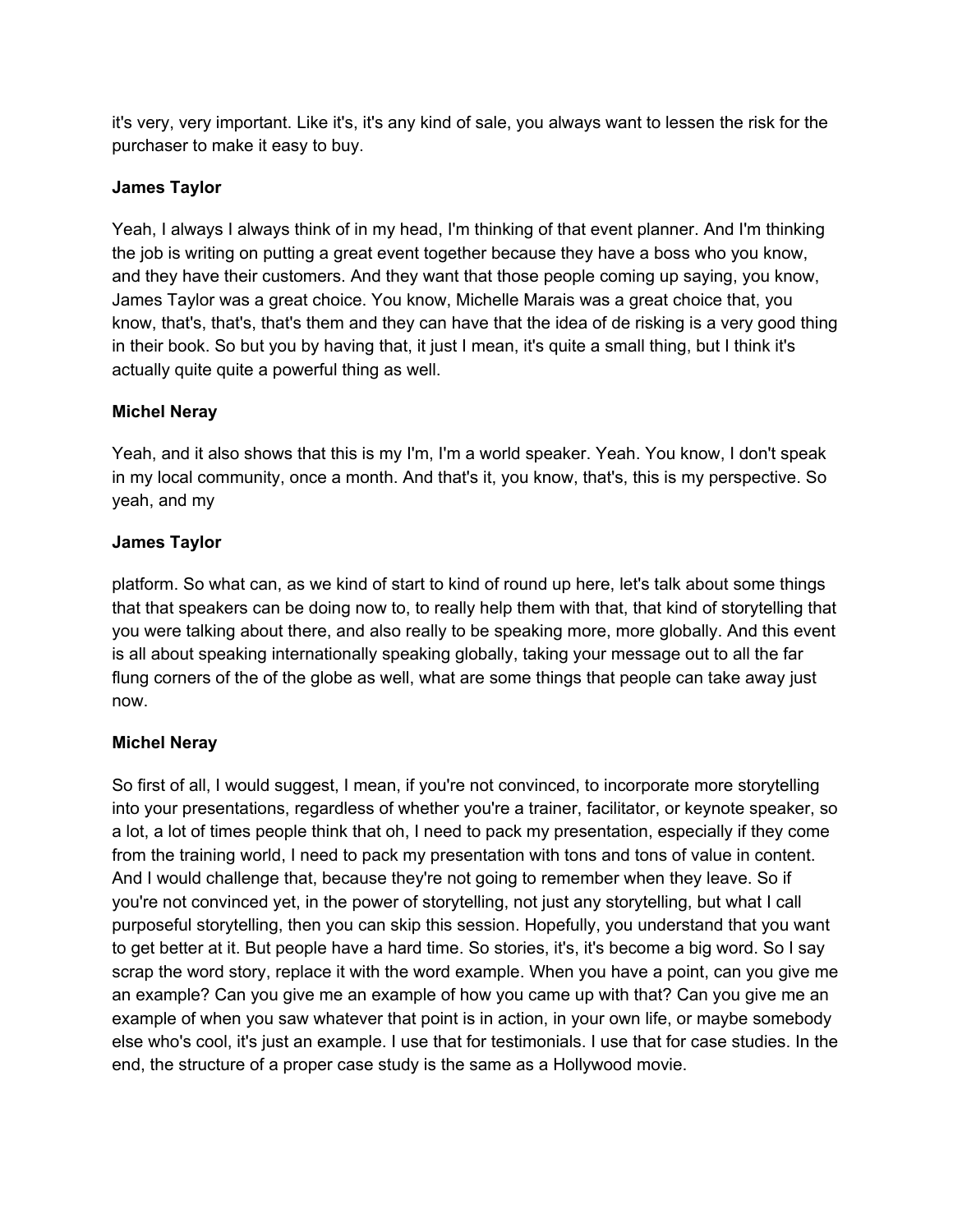it's very, very important. Like it's, it's any kind of sale, you always want to lessen the risk for the purchaser to make it easy to buy.

## **James Taylor**

Yeah, I always I always think of in my head, I'm thinking of that event planner. And I'm thinking the job is writing on putting a great event together because they have a boss who you know, and they have their customers. And they want that those people coming up saying, you know, James Taylor was a great choice. You know, Michelle Marais was a great choice that, you know, that's, that's, that's them and they can have that the idea of de risking is a very good thing in their book. So but you by having that, it just I mean, it's quite a small thing, but I think it's actually quite quite a powerful thing as well.

## **Michel Neray**

Yeah, and it also shows that this is my I'm, I'm a world speaker. Yeah. You know, I don't speak in my local community, once a month. And that's it, you know, that's, this is my perspective. So yeah, and my

# **James Taylor**

platform. So what can, as we kind of start to kind of round up here, let's talk about some things that that speakers can be doing now to, to really help them with that, that kind of storytelling that you were talking about there, and also really to be speaking more, more globally. And this event is all about speaking internationally speaking globally, taking your message out to all the far flung corners of the of the globe as well, what are some things that people can take away just now.

### **Michel Neray**

So first of all, I would suggest, I mean, if you're not convinced, to incorporate more storytelling into your presentations, regardless of whether you're a trainer, facilitator, or keynote speaker, so a lot, a lot of times people think that oh, I need to pack my presentation, especially if they come from the training world, I need to pack my presentation with tons and tons of value in content. And I would challenge that, because they're not going to remember when they leave. So if you're not convinced yet, in the power of storytelling, not just any storytelling, but what I call purposeful storytelling, then you can skip this session. Hopefully, you understand that you want to get better at it. But people have a hard time. So stories, it's, it's become a big word. So I say scrap the word story, replace it with the word example. When you have a point, can you give me an example? Can you give me an example of how you came up with that? Can you give me an example of when you saw whatever that point is in action, in your own life, or maybe somebody else who's cool, it's just an example. I use that for testimonials. I use that for case studies. In the end, the structure of a proper case study is the same as a Hollywood movie.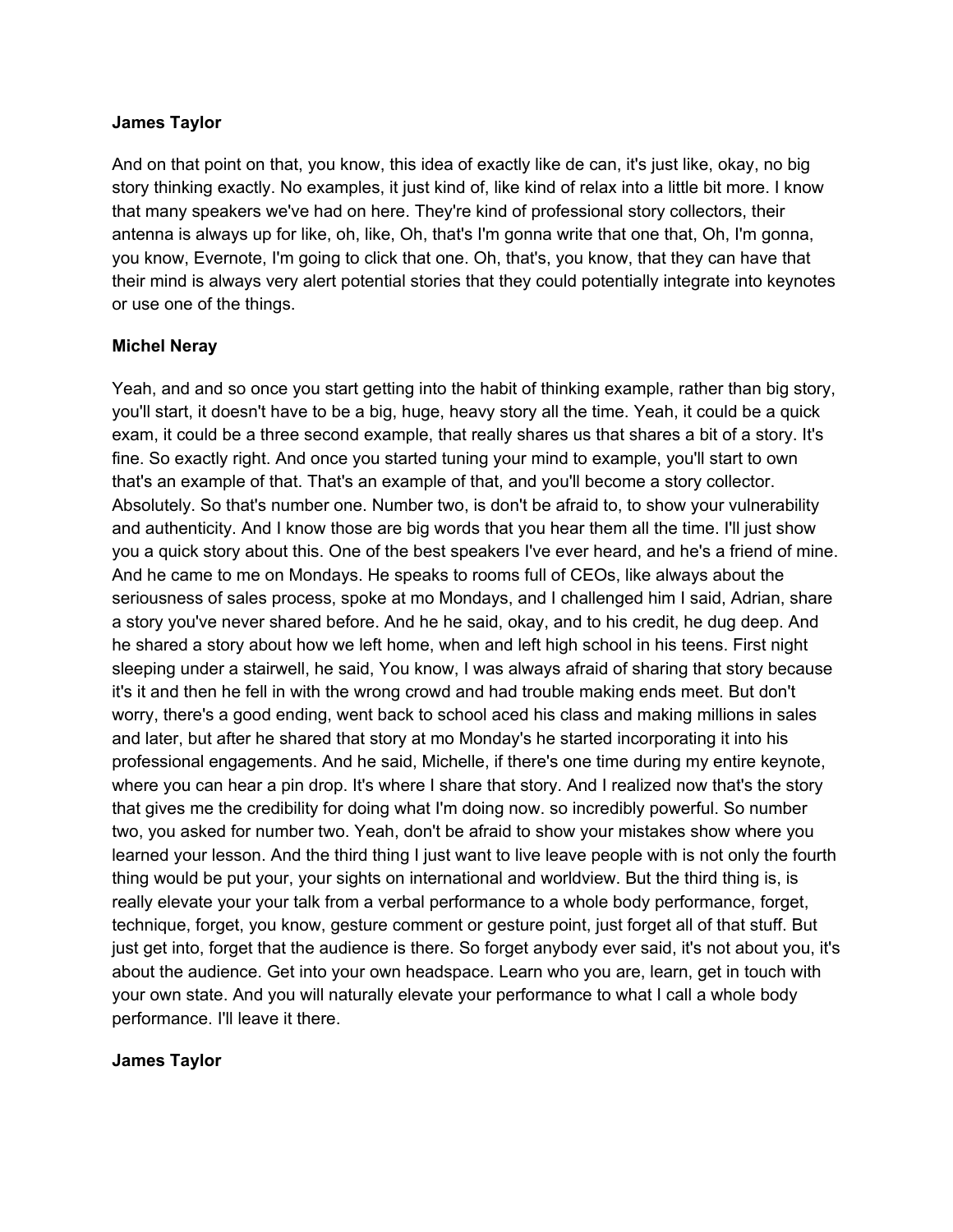And on that point on that, you know, this idea of exactly like de can, it's just like, okay, no big story thinking exactly. No examples, it just kind of, like kind of relax into a little bit more. I know that many speakers we've had on here. They're kind of professional story collectors, their antenna is always up for like, oh, like, Oh, that's I'm gonna write that one that, Oh, I'm gonna, you know, Evernote, I'm going to click that one. Oh, that's, you know, that they can have that their mind is always very alert potential stories that they could potentially integrate into keynotes or use one of the things.

### **Michel Neray**

Yeah, and and so once you start getting into the habit of thinking example, rather than big story, you'll start, it doesn't have to be a big, huge, heavy story all the time. Yeah, it could be a quick exam, it could be a three second example, that really shares us that shares a bit of a story. It's fine. So exactly right. And once you started tuning your mind to example, you'll start to own that's an example of that. That's an example of that, and you'll become a story collector. Absolutely. So that's number one. Number two, is don't be afraid to, to show your vulnerability and authenticity. And I know those are big words that you hear them all the time. I'll just show you a quick story about this. One of the best speakers I've ever heard, and he's a friend of mine. And he came to me on Mondays. He speaks to rooms full of CEOs, like always about the seriousness of sales process, spoke at mo Mondays, and I challenged him I said, Adrian, share a story you've never shared before. And he he said, okay, and to his credit, he dug deep. And he shared a story about how we left home, when and left high school in his teens. First night sleeping under a stairwell, he said, You know, I was always afraid of sharing that story because it's it and then he fell in with the wrong crowd and had trouble making ends meet. But don't worry, there's a good ending, went back to school aced his class and making millions in sales and later, but after he shared that story at mo Monday's he started incorporating it into his professional engagements. And he said, Michelle, if there's one time during my entire keynote, where you can hear a pin drop. It's where I share that story. And I realized now that's the story that gives me the credibility for doing what I'm doing now. so incredibly powerful. So number two, you asked for number two. Yeah, don't be afraid to show your mistakes show where you learned your lesson. And the third thing I just want to live leave people with is not only the fourth thing would be put your, your sights on international and worldview. But the third thing is, is really elevate your your talk from a verbal performance to a whole body performance, forget, technique, forget, you know, gesture comment or gesture point, just forget all of that stuff. But just get into, forget that the audience is there. So forget anybody ever said, it's not about you, it's about the audience. Get into your own headspace. Learn who you are, learn, get in touch with your own state. And you will naturally elevate your performance to what I call a whole body performance. I'll leave it there.

#### **James Taylor**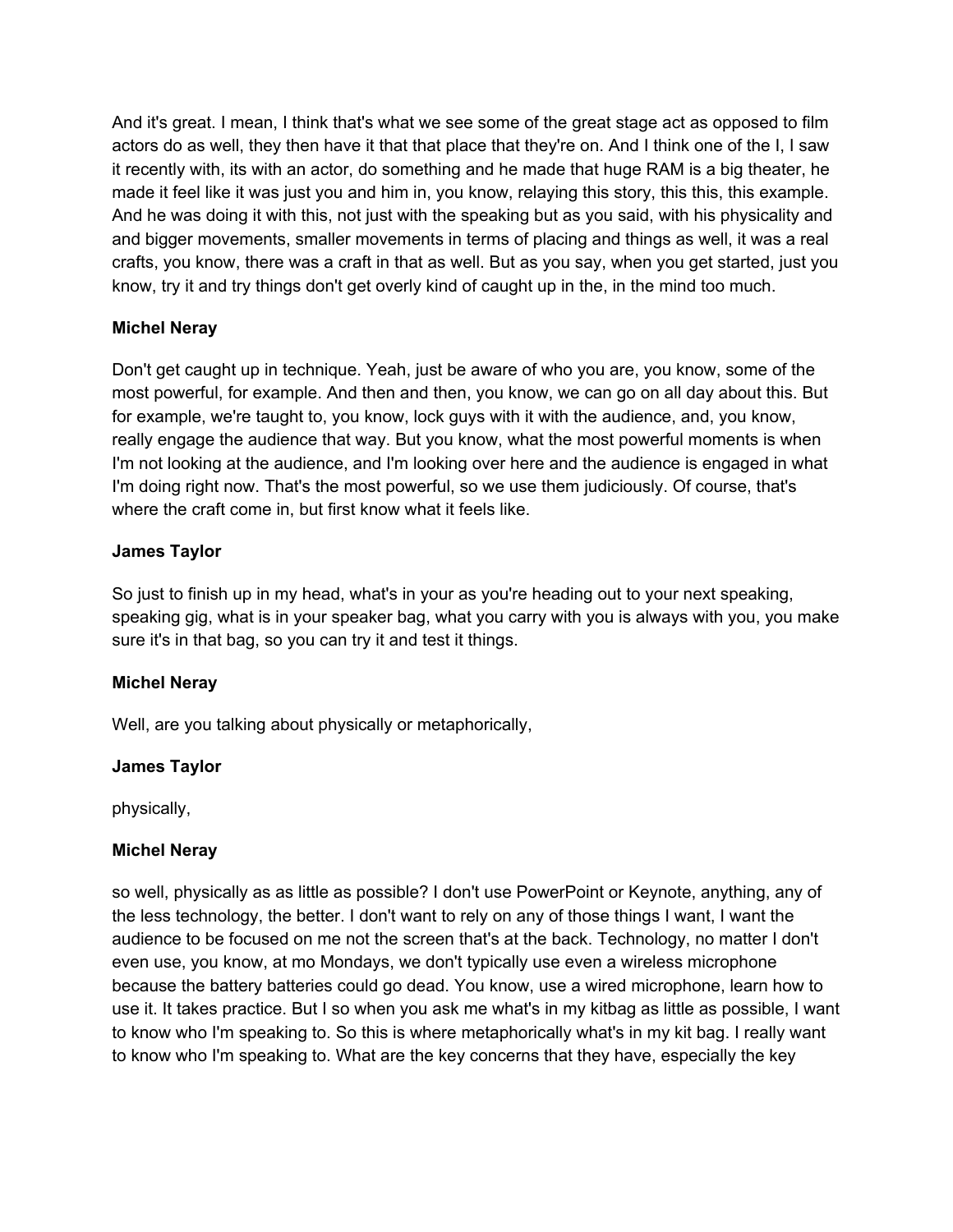And it's great. I mean, I think that's what we see some of the great stage act as opposed to film actors do as well, they then have it that that place that they're on. And I think one of the I, I saw it recently with, its with an actor, do something and he made that huge RAM is a big theater, he made it feel like it was just you and him in, you know, relaying this story, this this, this example. And he was doing it with this, not just with the speaking but as you said, with his physicality and and bigger movements, smaller movements in terms of placing and things as well, it was a real crafts, you know, there was a craft in that as well. But as you say, when you get started, just you know, try it and try things don't get overly kind of caught up in the, in the mind too much.

## **Michel Neray**

Don't get caught up in technique. Yeah, just be aware of who you are, you know, some of the most powerful, for example. And then and then, you know, we can go on all day about this. But for example, we're taught to, you know, lock guys with it with the audience, and, you know, really engage the audience that way. But you know, what the most powerful moments is when I'm not looking at the audience, and I'm looking over here and the audience is engaged in what I'm doing right now. That's the most powerful, so we use them judiciously. Of course, that's where the craft come in, but first know what it feels like.

## **James Taylor**

So just to finish up in my head, what's in your as you're heading out to your next speaking, speaking gig, what is in your speaker bag, what you carry with you is always with you, you make sure it's in that bag, so you can try it and test it things.

### **Michel Neray**

Well, are you talking about physically or metaphorically,

# **James Taylor**

physically,

### **Michel Neray**

so well, physically as as little as possible? I don't use PowerPoint or Keynote, anything, any of the less technology, the better. I don't want to rely on any of those things I want, I want the audience to be focused on me not the screen that's at the back. Technology, no matter I don't even use, you know, at mo Mondays, we don't typically use even a wireless microphone because the battery batteries could go dead. You know, use a wired microphone, learn how to use it. It takes practice. But I so when you ask me what's in my kitbag as little as possible, I want to know who I'm speaking to. So this is where metaphorically what's in my kit bag. I really want to know who I'm speaking to. What are the key concerns that they have, especially the key